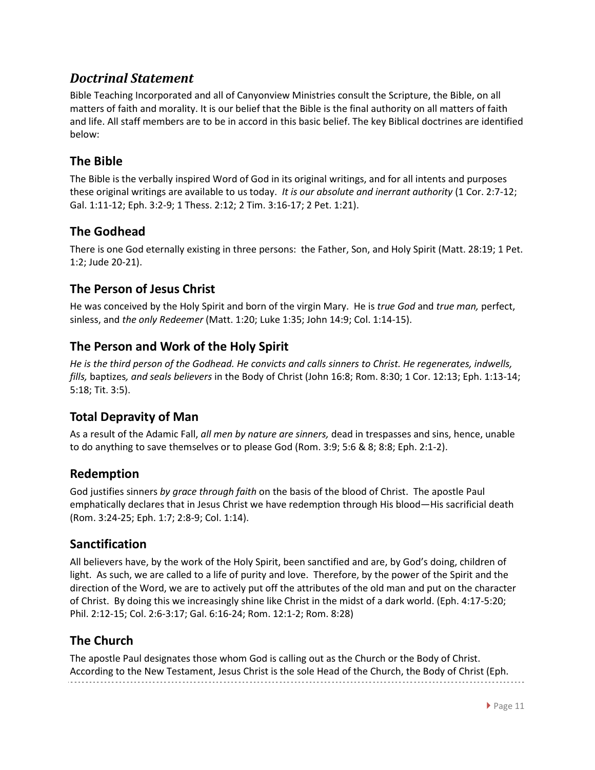# *Doctrinal Statement*

Bible Teaching Incorporated and all of Canyonview Ministries consult the Scripture, the Bible, on all matters of faith and morality. It is our belief that the Bible is the final authority on all matters of faith and life. All staff members are to be in accord in this basic belief. The key Biblical doctrines are identified below:

### **The Bible**

The Bible is the verbally inspired Word of God in its original writings, and for all intents and purposes these original writings are available to us today. *It is our absolute and inerrant authority* (1 Cor. 2:7-12; Gal. 1:11-12; Eph. 3:2-9; 1 Thess. 2:12; 2 Tim. 3:16-17; 2 Pet. 1:21).

## **The Godhead**

There is one God eternally existing in three persons: the Father, Son, and Holy Spirit (Matt. 28:19; 1 Pet. 1:2; Jude 20-21).

## **The Person of Jesus Christ**

He was conceived by the Holy Spirit and born of the virgin Mary. He is *true God* and *true man,* perfect, sinless, and *the only Redeemer* (Matt. 1:20; Luke 1:35; John 14:9; Col. 1:14-15).

### **The Person and Work of the Holy Spirit**

*He is the third person of the Godhead. He convicts and calls sinners to Christ. He regenerates, indwells, fills,* baptizes*, and seals believers* in the Body of Christ (John 16:8; Rom. 8:30; 1 Cor. 12:13; Eph. 1:13-14; 5:18; Tit. 3:5).

### **Total Depravity of Man**

As a result of the Adamic Fall, *all men by nature are sinners,* dead in trespasses and sins, hence, unable to do anything to save themselves or to please God (Rom. 3:9; 5:6 & 8; 8:8; Eph. 2:1-2).

### **Redemption**

God justifies sinners *by grace through faith* on the basis of the blood of Christ. The apostle Paul emphatically declares that in Jesus Christ we have redemption through His blood—His sacrificial death (Rom. 3:24-25; Eph. 1:7; 2:8-9; Col. 1:14).

### **Sanctification**

All believers have, by the work of the Holy Spirit, been sanctified and are, by God's doing, children of light. As such, we are called to a life of purity and love. Therefore, by the power of the Spirit and the direction of the Word, we are to actively put off the attributes of the old man and put on the character of Christ. By doing this we increasingly shine like Christ in the midst of a dark world. (Eph. 4:17-5:20; Phil. 2:12-15; Col. 2:6-3:17; Gal. 6:16-24; Rom. 12:1-2; Rom. 8:28)

### **The Church**

The apostle Paul designates those whom God is calling out as the Church or the Body of Christ. According to the New Testament, Jesus Christ is the sole Head of the Church, the Body of Christ (Eph.